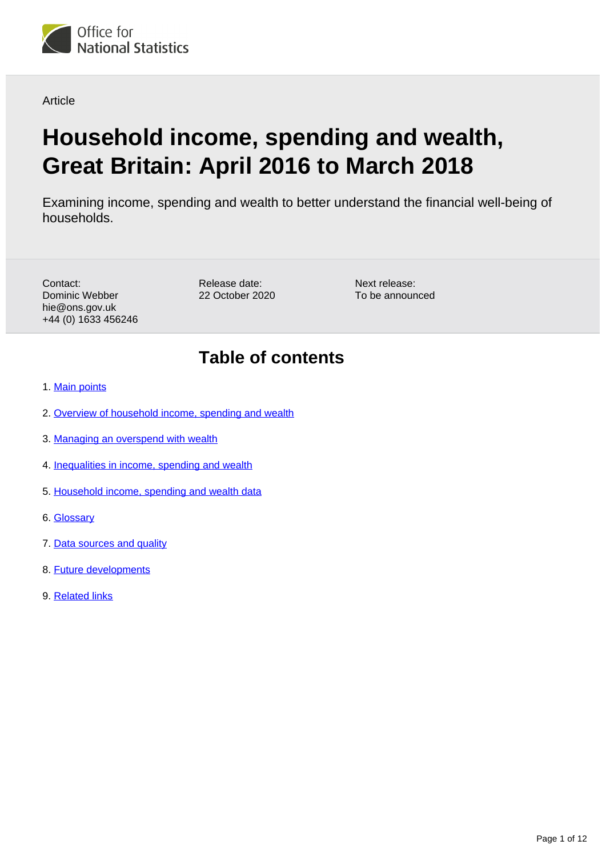

**Article** 

# **Household income, spending and wealth, Great Britain: April 2016 to March 2018**

Examining income, spending and wealth to better understand the financial well-being of households.

Contact: Dominic Webber hie@ons.gov.uk +44 (0) 1633 456246 Release date: 22 October 2020

Next release: To be announced

## **Table of contents**

- 1. [Main points](#page-1-0)
- 2. [Overview of household income, spending and wealth](#page-1-1)
- 3. [Managing an overspend with wealth](#page-2-0)
- 4. [Inequalities in income, spending and wealth](#page-5-0)
- 5. [Household income, spending and wealth data](#page-8-0)
- 6. [Glossary](#page-8-1)
- 7. [Data sources and quality](#page-8-2)
- 8. [Future developments](#page-11-0)
- 9. [Related links](#page-11-1)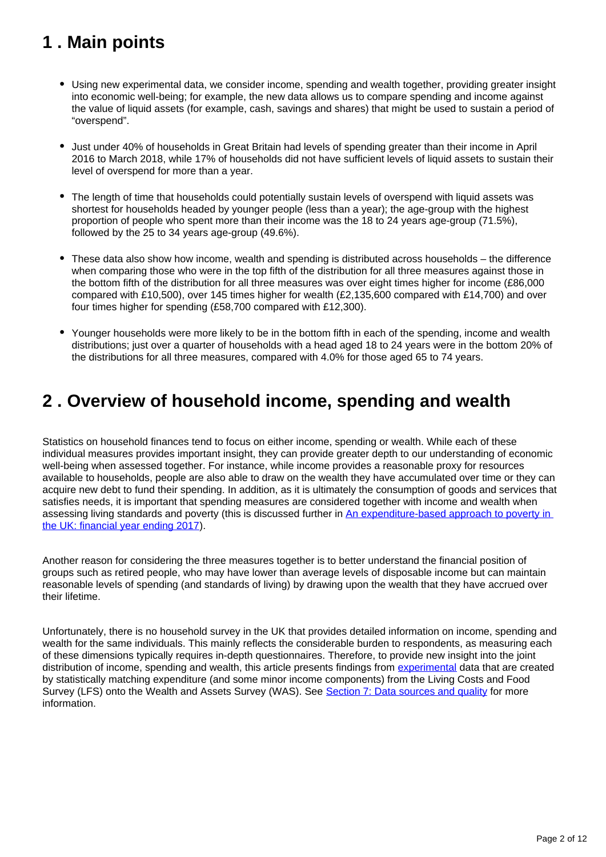## <span id="page-1-0"></span>**1 . Main points**

- Using new experimental data, we consider income, spending and wealth together, providing greater insight into economic well-being; for example, the new data allows us to compare spending and income against the value of liquid assets (for example, cash, savings and shares) that might be used to sustain a period of "overspend".
- Just under 40% of households in Great Britain had levels of spending greater than their income in April 2016 to March 2018, while 17% of households did not have sufficient levels of liquid assets to sustain their level of overspend for more than a year.
- The length of time that households could potentially sustain levels of overspend with liquid assets was shortest for households headed by younger people (less than a year); the age-group with the highest proportion of people who spent more than their income was the 18 to 24 years age-group (71.5%), followed by the 25 to 34 years age-group (49.6%).
- These data also show how income, wealth and spending is distributed across households the difference when comparing those who were in the top fifth of the distribution for all three measures against those in the bottom fifth of the distribution for all three measures was over eight times higher for income (£86,000 compared with £10,500), over 145 times higher for wealth (£2,135,600 compared with £14,700) and over four times higher for spending (£58,700 compared with £12,300).
- Younger households were more likely to be in the bottom fifth in each of the spending, income and wealth distributions; just over a quarter of households with a head aged 18 to 24 years were in the bottom 20% of the distributions for all three measures, compared with 4.0% for those aged 65 to 74 years.

## <span id="page-1-1"></span>**2 . Overview of household income, spending and wealth**

Statistics on household finances tend to focus on either income, spending or wealth. While each of these individual measures provides important insight, they can provide greater depth to our understanding of economic well-being when assessed together. For instance, while income provides a reasonable proxy for resources available to households, people are also able to draw on the wealth they have accumulated over time or they can acquire new debt to fund their spending. In addition, as it is ultimately the consumption of goods and services that satisfies needs, it is important that spending measures are considered together with income and wealth when assessing living standards and poverty (this is discussed further in [An expenditure-based approach to poverty in](https://www.ons.gov.uk/peoplepopulationandcommunity/personalandhouseholdfinances/incomeandwealth/articles/anexpenditurebasedapproachtopovertyintheuk/financialyearending2017)  [the UK: financial year ending 2017](https://www.ons.gov.uk/peoplepopulationandcommunity/personalandhouseholdfinances/incomeandwealth/articles/anexpenditurebasedapproachtopovertyintheuk/financialyearending2017)).

Another reason for considering the three measures together is to better understand the financial position of groups such as retired people, who may have lower than average levels of disposable income but can maintain reasonable levels of spending (and standards of living) by drawing upon the wealth that they have accrued over their lifetime.

Unfortunately, there is no household survey in the UK that provides detailed information on income, spending and wealth for the same individuals. This mainly reflects the considerable burden to respondents, as measuring each of these dimensions typically requires in-depth questionnaires. Therefore, to provide new insight into the joint distribution of income, spending and wealth, this article presents findings from [experimental](https://www.ons.gov.uk/methodology/methodologytopicsandstatisticalconcepts/guidetoexperimentalstatistics) data that are created by statistically matching expenditure (and some minor income components) from the Living Costs and Food Survey (LFS) onto the Wealth and Assets Survey (WAS). See [Section 7: Data sources and quality](https://www.ons.gov.uk/peoplepopulationandcommunity/personalandhouseholdfinances/incomeandwealth/articles/householdincomespendingandwealthgreatbritain/april2016tomarch2018#data-sources-and-quality) for more information.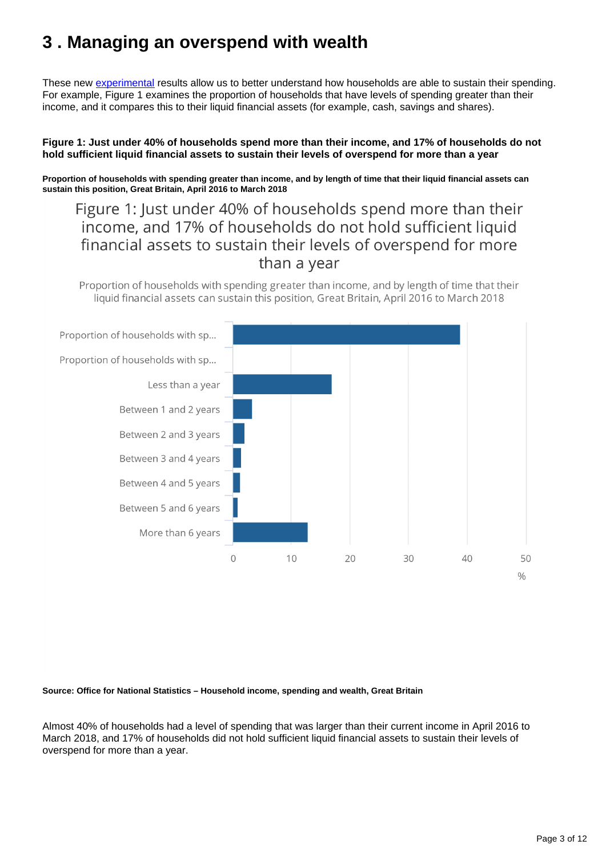## <span id="page-2-0"></span>**3 . Managing an overspend with wealth**

These new [experimental](https://www.ons.gov.uk/methodology/methodologytopicsandstatisticalconcepts/guidetoexperimentalstatistics) results allow us to better understand how households are able to sustain their spending. For example, Figure 1 examines the proportion of households that have levels of spending greater than their income, and it compares this to their liquid financial assets (for example, cash, savings and shares).

#### **Figure 1: Just under 40% of households spend more than their income, and 17% of households do not hold sufficient liquid financial assets to sustain their levels of overspend for more than a year**

**Proportion of households with spending greater than income, and by length of time that their liquid financial assets can sustain this position, Great Britain, April 2016 to March 2018**

Figure 1: Just under 40% of households spend more than their income, and 17% of households do not hold sufficient liquid financial assets to sustain their levels of overspend for more than a year

Proportion of households with spending greater than income, and by length of time that their liquid financial assets can sustain this position, Great Britain, April 2016 to March 2018



#### **Source: Office for National Statistics – Household income, spending and wealth, Great Britain**

Almost 40% of households had a level of spending that was larger than their current income in April 2016 to March 2018, and 17% of households did not hold sufficient liquid financial assets to sustain their levels of overspend for more than a year.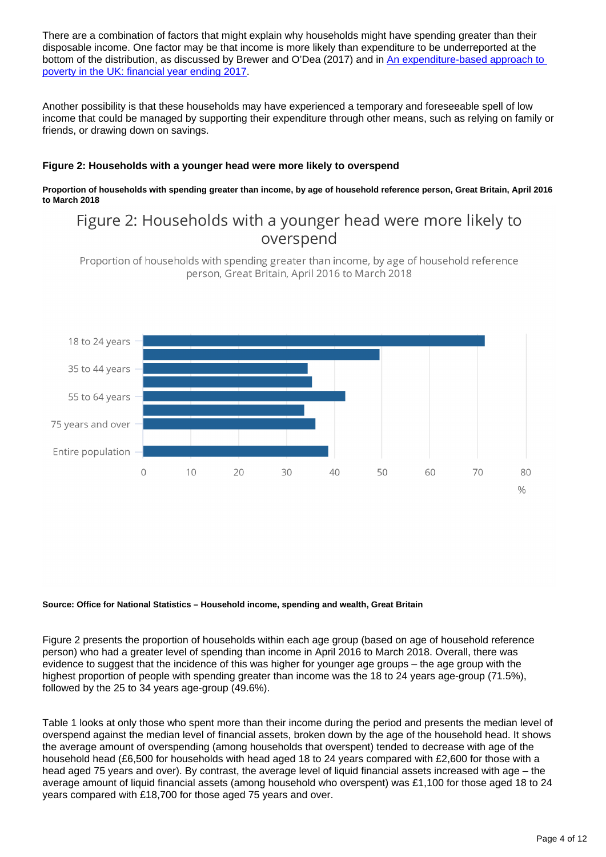There are a combination of factors that might explain why households might have spending greater than their disposable income. One factor may be that income is more likely than expenditure to be underreported at the bottom of the distribution, as discussed by Brewer and O'Dea (2017) and in [An expenditure-based approach to](https://www.ons.gov.uk/peoplepopulationandcommunity/personalandhouseholdfinances/incomeandwealth/articles/anexpenditurebasedapproachtopovertyintheuk/financialyearending2017)  [poverty in the UK: financial year ending 2017](https://www.ons.gov.uk/peoplepopulationandcommunity/personalandhouseholdfinances/incomeandwealth/articles/anexpenditurebasedapproachtopovertyintheuk/financialyearending2017).

Another possibility is that these households may have experienced a temporary and foreseeable spell of low income that could be managed by supporting their expenditure through other means, such as relying on family or friends, or drawing down on savings.

#### **Figure 2: Households with a younger head were more likely to overspend**

#### **Proportion of households with spending greater than income, by age of household reference person, Great Britain, April 2016 to March 2018**

## Figure 2: Households with a younger head were more likely to overspend

Proportion of households with spending greater than income, by age of household reference person, Great Britain, April 2016 to March 2018



#### **Source: Office for National Statistics – Household income, spending and wealth, Great Britain**

Figure 2 presents the proportion of households within each age group (based on age of household reference person) who had a greater level of spending than income in April 2016 to March 2018. Overall, there was evidence to suggest that the incidence of this was higher for younger age groups – the age group with the highest proportion of people with spending greater than income was the 18 to 24 years age-group (71.5%), followed by the 25 to 34 years age-group (49.6%).

Table 1 looks at only those who spent more than their income during the period and presents the median level of overspend against the median level of financial assets, broken down by the age of the household head. It shows the average amount of overspending (among households that overspent) tended to decrease with age of the household head (£6,500 for households with head aged 18 to 24 years compared with £2,600 for those with a head aged 75 years and over). By contrast, the average level of liquid financial assets increased with age – the average amount of liquid financial assets (among household who overspent) was £1,100 for those aged 18 to 24 years compared with £18,700 for those aged 75 years and over.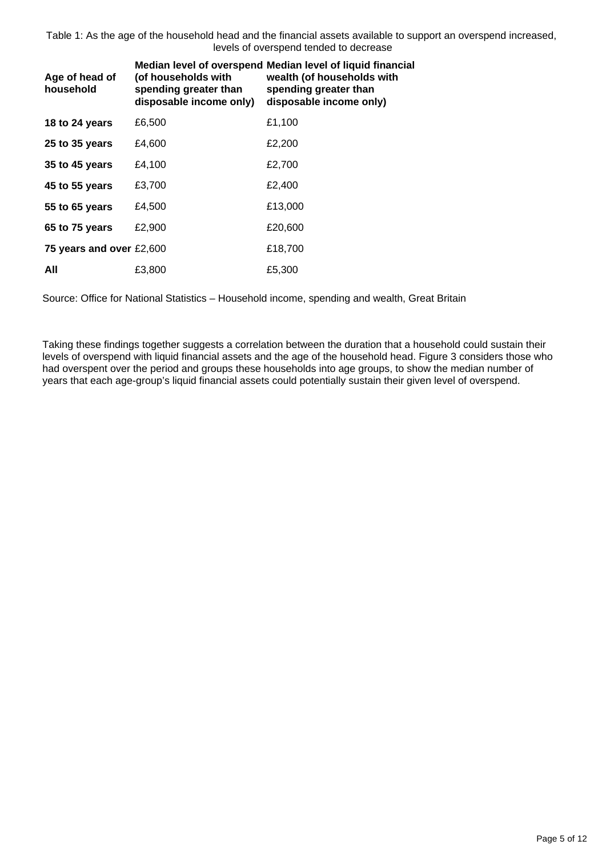Table 1: As the age of the household head and the financial assets available to support an overspend increased, levels of overspend tended to decrease

| Age of head of<br>household | (of households with<br>spending greater than<br>disposable income only) | Median level of overspend Median level of liquid financial<br>wealth (of households with<br>spending greater than<br>disposable income only) |
|-----------------------------|-------------------------------------------------------------------------|----------------------------------------------------------------------------------------------------------------------------------------------|
| 18 to 24 years              | £6,500                                                                  | £1,100                                                                                                                                       |
| 25 to 35 years              | £4,600                                                                  | £2,200                                                                                                                                       |
| 35 to 45 years              | £4,100                                                                  | £2,700                                                                                                                                       |
| 45 to 55 years              | £3,700                                                                  | £2,400                                                                                                                                       |
| 55 to 65 years              | £4,500                                                                  | £13,000                                                                                                                                      |
| 65 to 75 years              | £2,900                                                                  | £20,600                                                                                                                                      |
| 75 years and over £2,600    |                                                                         | £18,700                                                                                                                                      |
| All                         | £3,800                                                                  | £5,300                                                                                                                                       |

Source: Office for National Statistics – Household income, spending and wealth, Great Britain

Taking these findings together suggests a correlation between the duration that a household could sustain their levels of overspend with liquid financial assets and the age of the household head. Figure 3 considers those who had overspent over the period and groups these households into age groups, to show the median number of years that each age-group's liquid financial assets could potentially sustain their given level of overspend.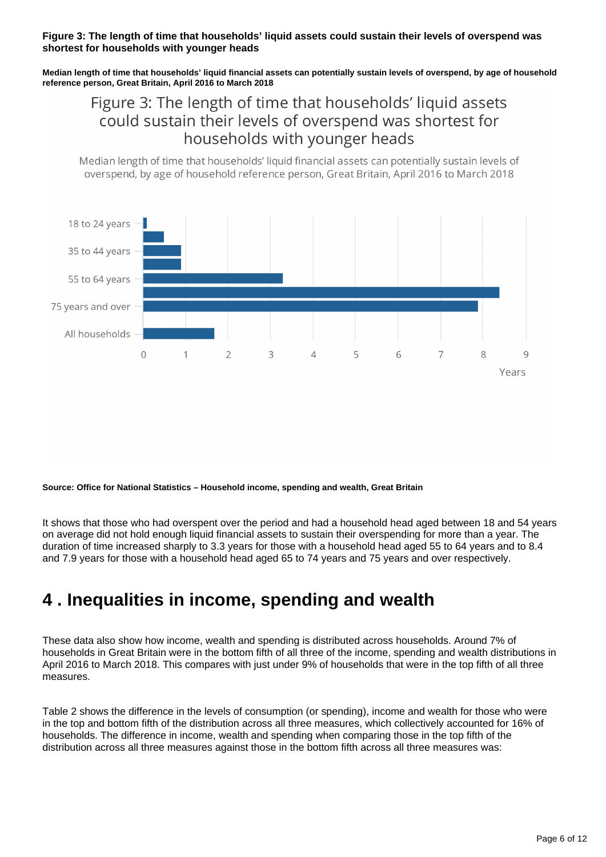#### **Figure 3: The length of time that households' liquid assets could sustain their levels of overspend was shortest for households with younger heads**

**Median length of time that households' liquid financial assets can potentially sustain levels of overspend, by age of household reference person, Great Britain, April 2016 to March 2018**

## Figure 3: The length of time that households' liquid assets could sustain their levels of overspend was shortest for households with younger heads

Median length of time that households' liquid financial assets can potentially sustain levels of overspend, by age of household reference person, Great Britain, April 2016 to March 2018



**Source: Office for National Statistics – Household income, spending and wealth, Great Britain**

It shows that those who had overspent over the period and had a household head aged between 18 and 54 years on average did not hold enough liquid financial assets to sustain their overspending for more than a year. The duration of time increased sharply to 3.3 years for those with a household head aged 55 to 64 years and to 8.4 and 7.9 years for those with a household head aged 65 to 74 years and 75 years and over respectively.

## <span id="page-5-0"></span>**4 . Inequalities in income, spending and wealth**

These data also show how income, wealth and spending is distributed across households. Around 7% of households in Great Britain were in the bottom fifth of all three of the income, spending and wealth distributions in April 2016 to March 2018. This compares with just under 9% of households that were in the top fifth of all three measures.

Table 2 shows the difference in the levels of consumption (or spending), income and wealth for those who were in the top and bottom fifth of the distribution across all three measures, which collectively accounted for 16% of households. The difference in income, wealth and spending when comparing those in the top fifth of the distribution across all three measures against those in the bottom fifth across all three measures was: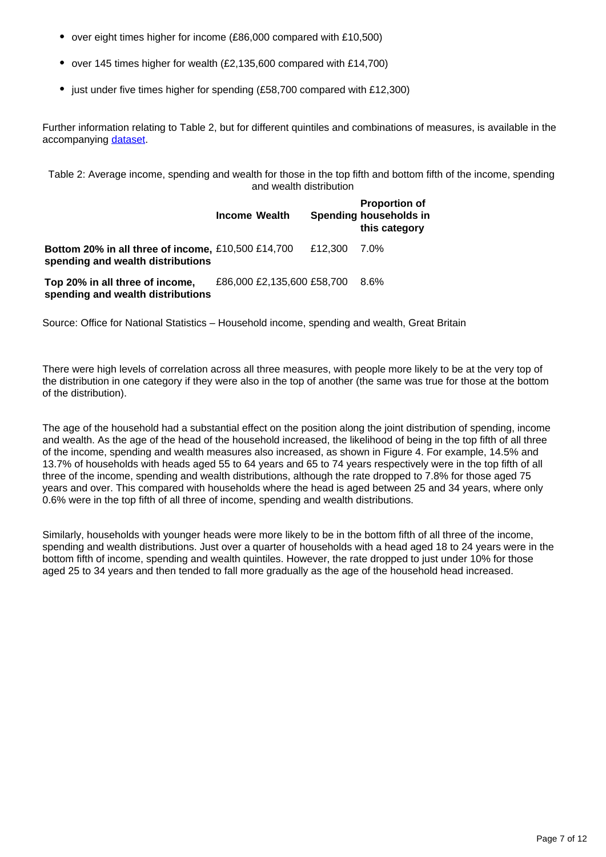- over eight times higher for income (£86,000 compared with £10,500)
- over 145 times higher for wealth (£2,135,600 compared with £14,700)
- just under five times higher for spending (£58,700 compared with £12,300)

Further information relating to Table 2, but for different quintiles and combinations of measures, is available in the accompanying [dataset.](https://www.ons.gov.uk/peoplepopulationandcommunity/personalandhouseholdfinances/incomeandwealth/datasets/householdincomespendingandwealthingreatbritain)

Table 2: Average income, spending and wealth for those in the top fifth and bottom fifth of the income, spending and wealth distribution

|                                                                                                                                                        | <b>Income Wealth</b>       |         | <b>Proportion of</b><br>Spending households in<br>this category |
|--------------------------------------------------------------------------------------------------------------------------------------------------------|----------------------------|---------|-----------------------------------------------------------------|
| Bottom 20% in all three of income, £10,500 £14,700<br>spending and wealth distributions                                                                |                            | £12.300 | 7.0%                                                            |
| Top 20% in all three of income,<br>and the contract of the contract of the contract of the contract of the contract of the contract of the contract of | £86,000 £2,135,600 £58,700 |         | $8.6\%$                                                         |

**spending and wealth distributions**

Source: Office for National Statistics – Household income, spending and wealth, Great Britain

There were high levels of correlation across all three measures, with people more likely to be at the very top of the distribution in one category if they were also in the top of another (the same was true for those at the bottom of the distribution).

The age of the household had a substantial effect on the position along the joint distribution of spending, income and wealth. As the age of the head of the household increased, the likelihood of being in the top fifth of all three of the income, spending and wealth measures also increased, as shown in Figure 4. For example, 14.5% and 13.7% of households with heads aged 55 to 64 years and 65 to 74 years respectively were in the top fifth of all three of the income, spending and wealth distributions, although the rate dropped to 7.8% for those aged 75 years and over. This compared with households where the head is aged between 25 and 34 years, where only 0.6% were in the top fifth of all three of income, spending and wealth distributions.

Similarly, households with younger heads were more likely to be in the bottom fifth of all three of the income, spending and wealth distributions. Just over a quarter of households with a head aged 18 to 24 years were in the bottom fifth of income, spending and wealth quintiles. However, the rate dropped to just under 10% for those aged 25 to 34 years and then tended to fall more gradually as the age of the household head increased.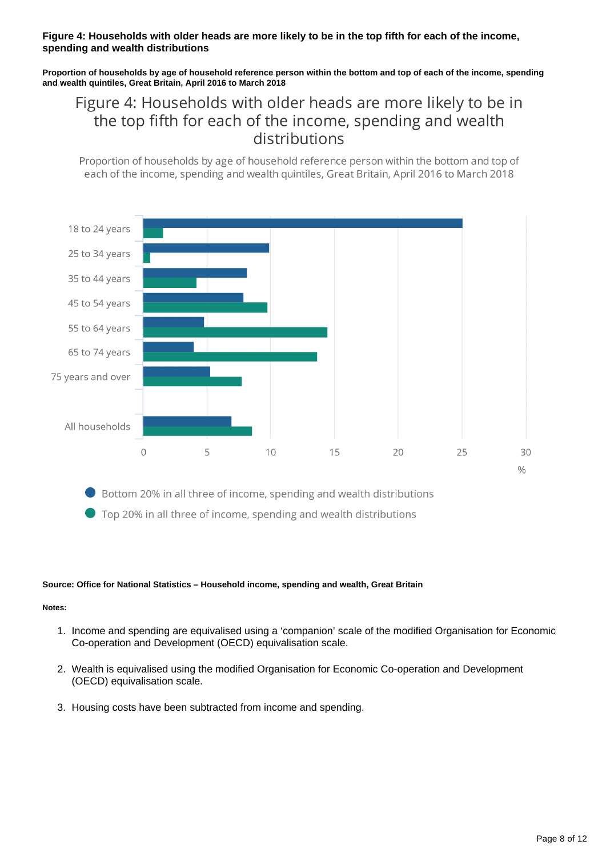#### **Figure 4: Households with older heads are more likely to be in the top fifth for each of the income, spending and wealth distributions**

**Proportion of households by age of household reference person within the bottom and top of each of the income, spending and wealth quintiles, Great Britain, April 2016 to March 2018**

## Figure 4: Households with older heads are more likely to be in the top fifth for each of the income, spending and wealth distributions

Proportion of households by age of household reference person within the bottom and top of each of the income, spending and wealth quintiles, Great Britain, April 2016 to March 2018



Top 20% in all three of income, spending and wealth distributions

#### **Source: Office for National Statistics – Household income, spending and wealth, Great Britain**

#### **Notes:**

- 1. Income and spending are equivalised using a 'companion' scale of the modified Organisation for Economic Co-operation and Development (OECD) equivalisation scale.
- 2. Wealth is equivalised using the modified Organisation for Economic Co-operation and Development (OECD) equivalisation scale.
- 3. Housing costs have been subtracted from income and spending.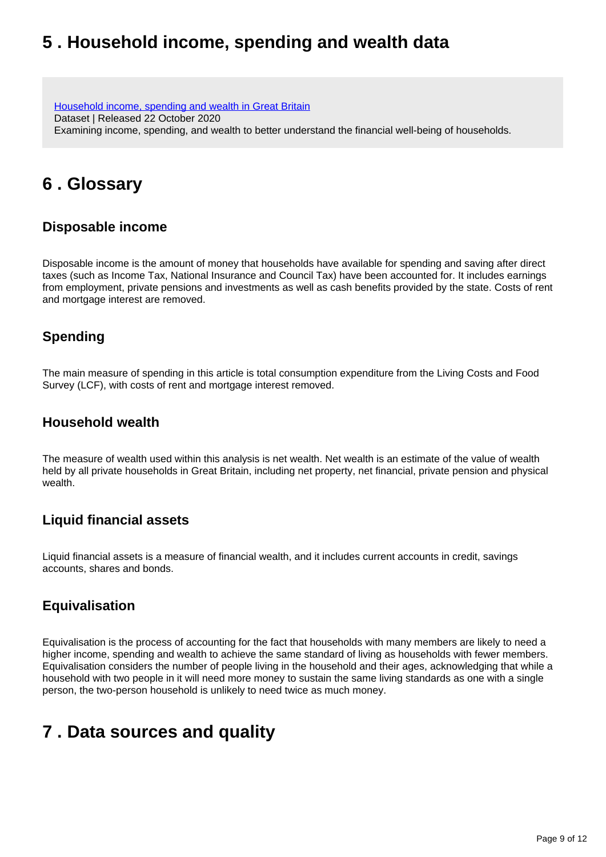## <span id="page-8-0"></span>**5 . Household income, spending and wealth data**

[Household income, spending and wealth in Great Britain](https://www.ons.gov.uk/peoplepopulationandcommunity/personalandhouseholdfinances/incomeandwealth/datasets/householdincomespendingandwealthingreatbritain) Dataset | Released 22 October 2020 Examining income, spending, and wealth to better understand the financial well-being of households.

## <span id="page-8-1"></span>**6 . Glossary**

### **Disposable income**

Disposable income is the amount of money that households have available for spending and saving after direct taxes (such as Income Tax, National Insurance and Council Tax) have been accounted for. It includes earnings from employment, private pensions and investments as well as cash benefits provided by the state. Costs of rent and mortgage interest are removed.

### **Spending**

The main measure of spending in this article is total consumption expenditure from the Living Costs and Food Survey (LCF), with costs of rent and mortgage interest removed.

### **Household wealth**

The measure of wealth used within this analysis is net wealth. Net wealth is an estimate of the value of wealth held by all private households in Great Britain, including net property, net financial, private pension and physical wealth.

### **Liquid financial assets**

Liquid financial assets is a measure of financial wealth, and it includes current accounts in credit, savings accounts, shares and bonds.

### **Equivalisation**

Equivalisation is the process of accounting for the fact that households with many members are likely to need a higher income, spending and wealth to achieve the same standard of living as households with fewer members. Equivalisation considers the number of people living in the household and their ages, acknowledging that while a household with two people in it will need more money to sustain the same living standards as one with a single person, the two-person household is unlikely to need twice as much money.

## <span id="page-8-2"></span>**7 . Data sources and quality**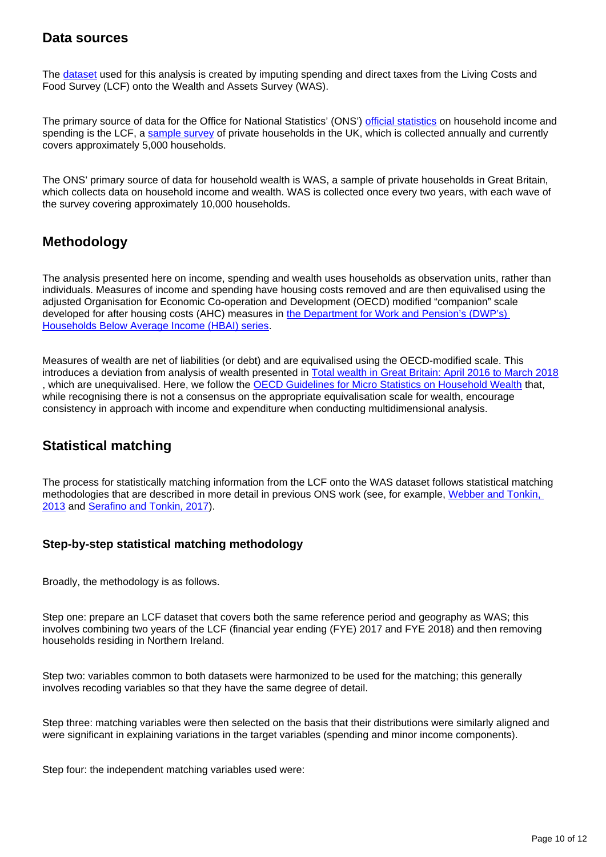### **Data sources**

The [dataset](https://www.ons.gov.uk/peoplepopulationandcommunity/personalandhouseholdfinances/incomeandwealth/datasets/householdincomespendingandwealthingreatbritain) used for this analysis is created by imputing spending and direct taxes from the Living Costs and Food Survey (LCF) onto the Wealth and Assets Survey (WAS).

The primary source of data for the Office for National Statistics' (ONS') [official statistics](https://www.statisticsauthority.gov.uk/about-the-authority/uk-statistical-system/types-of-official-statistics/) on household income and spending is the LCF, a [sample survey](https://www.ons.gov.uk/methodology/methodologytopicsandstatisticalconcepts/uncertaintyandhowwemeasureit#sampling-the-population) of private households in the UK, which is collected annually and currently covers approximately 5,000 households.

The ONS' primary source of data for household wealth is WAS, a sample of private households in Great Britain, which collects data on household income and wealth. WAS is collected once every two years, with each wave of the survey covering approximately 10,000 households.

### **Methodology**

The analysis presented here on income, spending and wealth uses households as observation units, rather than individuals. Measures of income and spending have housing costs removed and are then equivalised using the adjusted Organisation for Economic Co-operation and Development (OECD) modified "companion" scale developed for after housing costs (AHC) measures in the Department for Work and Pension's (DWP's) [Households Below Average Income \(HBAI\) series](https://assets.publishing.service.gov.uk/government/uploads/system/uploads/attachment_data/file/691919/households-below-average-income-quality-methodology-2016-2017.pdf).

Measures of wealth are net of liabilities (or debt) and are equivalised using the OECD-modified scale. This introduces a deviation from analysis of wealth presented in **Total wealth in Great Britain: April 2016 to March 2018** , which are unequivalised. Here, we follow the [OECD Guidelines for Micro Statistics on Household Wealth](https://www.oecd.org/statistics/guidelines-for-micro-statistics-on-household-wealth-9789264194878-en.htm) that, while recognising there is not a consensus on the appropriate equivalisation scale for wealth, encourage consistency in approach with income and expenditure when conducting multidimensional analysis.

### **Statistical matching**

The process for statistically matching information from the LCF onto the WAS dataset follows statistical matching methodologies that are described in more detail in previous ONS work (see, for example, [Webber and Tonkin,](https://ec.europa.eu/eurostat/documents/3888793/5857145/KS-RA-13-007-EN.PDF/37d4ffcc-e9fc-42bc-8d4f-fc89c65ff6b1)  [2013](https://ec.europa.eu/eurostat/documents/3888793/5857145/KS-RA-13-007-EN.PDF/37d4ffcc-e9fc-42bc-8d4f-fc89c65ff6b1) and [Serafino and Tonkin, 2017](https://ec.europa.eu/eurostat/documents/3888793/7882299/KS-TC-16-026-EN-N.pdf/3587dc1b-9f29-42cb-b0f9-0dfa21a47d41)).

### **Step-by-step statistical matching methodology**

Broadly, the methodology is as follows.

Step one: prepare an LCF dataset that covers both the same reference period and geography as WAS; this involves combining two years of the LCF (financial year ending (FYE) 2017 and FYE 2018) and then removing households residing in Northern Ireland.

Step two: variables common to both datasets were harmonized to be used for the matching; this generally involves recoding variables so that they have the same degree of detail.

Step three: matching variables were then selected on the basis that their distributions were similarly aligned and were significant in explaining variations in the target variables (spending and minor income components).

Step four: the independent matching variables used were: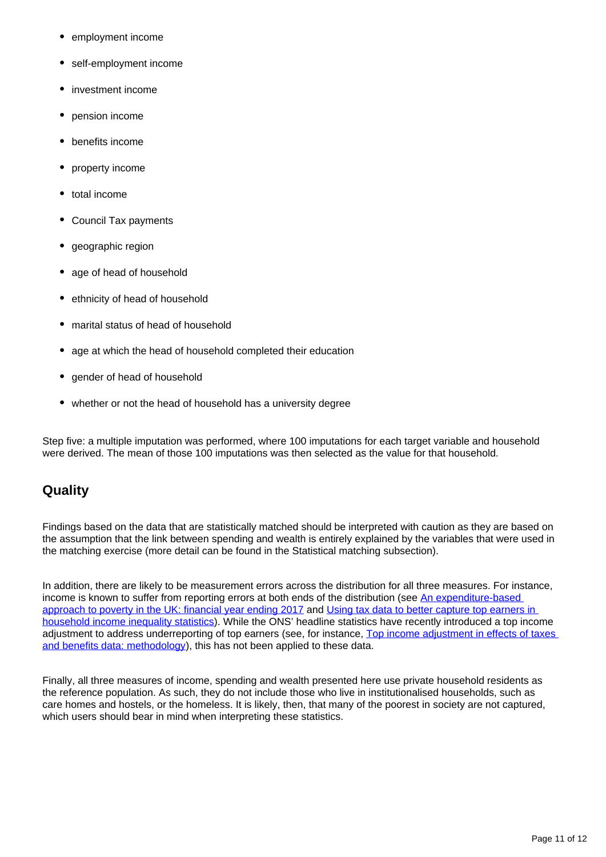- employment income
- self-employment income
- investment income
- pension income
- benefits income
- property income
- total income
- Council Tax payments
- geographic region
- age of head of household
- ethnicity of head of household  $\bullet$
- marital status of head of household
- age at which the head of household completed their education
- gender of head of household
- whether or not the head of household has a university degree

Step five: a multiple imputation was performed, where 100 imputations for each target variable and household were derived. The mean of those 100 imputations was then selected as the value for that household.

### **Quality**

Findings based on the data that are statistically matched should be interpreted with caution as they are based on the assumption that the link between spending and wealth is entirely explained by the variables that were used in the matching exercise (more detail can be found in the Statistical matching subsection).

In addition, there are likely to be measurement errors across the distribution for all three measures. For instance, income is known to suffer from reporting errors at both ends of the distribution (see [An expenditure-based](https://www.ons.gov.uk/peoplepopulationandcommunity/personalandhouseholdfinances/incomeandwealth/articles/anexpenditurebasedapproachtopovertyintheuk/financialyearending2017)  [approach to poverty in the UK: financial year ending 2017](https://www.ons.gov.uk/peoplepopulationandcommunity/personalandhouseholdfinances/incomeandwealth/articles/anexpenditurebasedapproachtopovertyintheuk/financialyearending2017) and Using tax data to better capture top earners in [household income inequality statistics](https://www.ons.gov.uk/peoplepopulationandcommunity/personalandhouseholdfinances/incomeandwealth/articles/usingtaxdatatobettercapturetopearnersinhouseholdincomeinequalitystatistics/2019-02-26)). While the ONS' headline statistics have recently introduced a top income adjustment to address underreporting of top earners (see, for instance, [Top income adjustment in effects of taxes](https://www.ons.gov.uk/economy/nationalaccounts/uksectoraccounts/compendium/economicreview/february2020/topincomeadjustmentineffectsoftaxesandbenefitsdatamethodology)  [and benefits data: methodology\)](https://www.ons.gov.uk/economy/nationalaccounts/uksectoraccounts/compendium/economicreview/february2020/topincomeadjustmentineffectsoftaxesandbenefitsdatamethodology), this has not been applied to these data.

Finally, all three measures of income, spending and wealth presented here use private household residents as the reference population. As such, they do not include those who live in institutionalised households, such as care homes and hostels, or the homeless. It is likely, then, that many of the poorest in society are not captured, which users should bear in mind when interpreting these statistics.